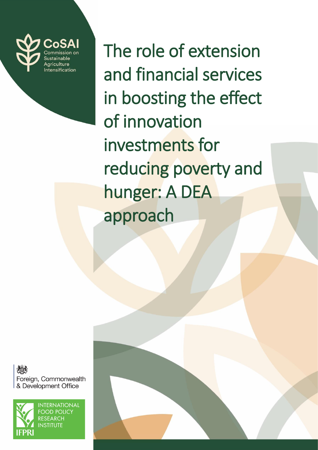

The role of extension and financial services in boosting the effect of innovation investments for reducing poverty and hunger: A DEA approach

AO. Foreign, Commonwealth & Development Office



**INTERNATIONAL FOOD POLICY RESEARCH INSTITUTE**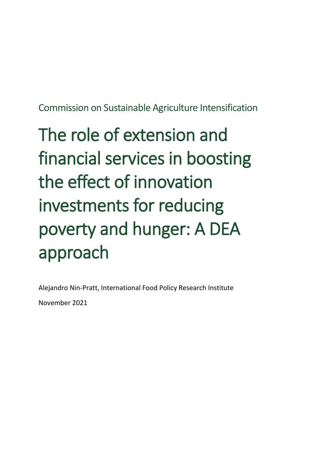Commission on Sustainable Agriculture Intensification

# The role of extension and financial services in boosting the effect of innovation investments for reducing poverty and hunger: A DEA approach

Alejandro Nin-Pratt, International Food Policy Research Institute

November 2021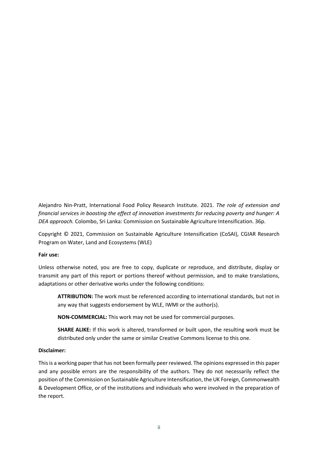Alejandro Nin-Pratt, International Food Policy Research Institute. 2021. *The role of extension and financial services in boosting the effect of innovation investments for reducing poverty and hunger: A DEA approach.* Colombo, Sri Lanka: Commission on Sustainable Agriculture Intensification. 36p.

Copyright © 2021, Commission on Sustainable Agriculture Intensification (CoSAI), CGIAR Research Program on Water, Land and Ecosystems (WLE)

#### **Fair use:**

Unless otherwise noted, you are free to copy, duplicate or reproduce, and distribute, display or transmit any part of this report or portions thereof without permission, and to make translations, adaptations or other derivative works under the following conditions:

**ATTRIBUTION:** The work must be referenced according to international standards, but not in any way that suggests endorsement by WLE, IWMI or the author(s).

**NON-COMMERCIAL:** This work may not be used for commercial purposes.

**SHARE ALIKE:** If this work is altered, transformed or built upon, the resulting work must be distributed only under the same or similar Creative Commons license to this one.

#### **Disclaimer:**

This is a working paper that has not been formally peer reviewed. The opinions expressed in this paper and any possible errors are the responsibility of the authors. They do not necessarily reflect the position of the Commission on Sustainable Agriculture Intensification, the UK Foreign, Commonwealth & Development Office, or of the institutions and individuals who were involved in the preparation of the report.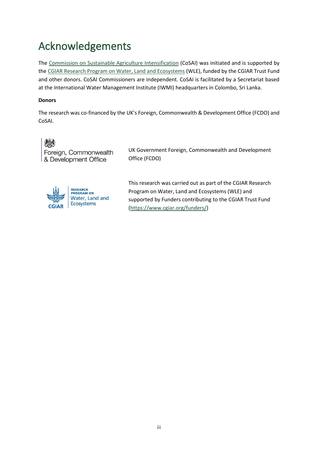# Acknowledgements

The [Commission on Sustainable Agriculture Intensification](https://wle.cgiar.org/cosai/) (CoSAI) was initiated and is supported by th[e CGIAR Research Program on Water, Land and Ecosystems](https://wle.cgiar.org/) (WLE), funded by the CGIAR Trust Fund and other donors. CoSAI Commissioners are independent. CoSAI is facilitated by a Secretariat based at the International Water Management Institute (IWMI) headquarters in Colombo, Sri Lanka.

#### **Donors**

The research was co-financed by the UK's Foreign, Commonwealth & Development Office (FCDO) and CoSAI.



UK Government Foreign, Commonwealth and Development Office (FCDO)



This research was carried out as part of the CGIAR Research Program on Water, Land and Ecosystems (WLE) and supported by Funders contributing to the CGIAR Trust Fund [\(https://www.cgiar.org/funders/\)](https://www.cgiar.org/funders/)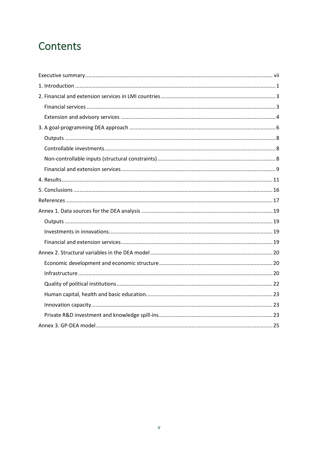# Contents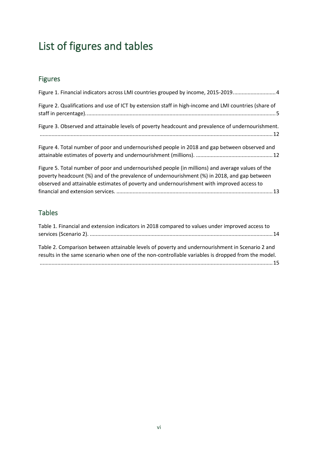# List of figures and tables

### Figures

| Figure 1. Financial indicators across LMI countries grouped by income, 2015-2019 4                                                                                                                                                                                                            |
|-----------------------------------------------------------------------------------------------------------------------------------------------------------------------------------------------------------------------------------------------------------------------------------------------|
| Figure 2. Qualifications and use of ICT by extension staff in high-income and LMI countries (share of                                                                                                                                                                                         |
| Figure 3. Observed and attainable levels of poverty headcount and prevalence of undernourishment.                                                                                                                                                                                             |
| Figure 4. Total number of poor and undernourished people in 2018 and gap between observed and                                                                                                                                                                                                 |
| Figure 5. Total number of poor and undernourished people (in millions) and average values of the<br>poverty headcount (%) and of the prevalence of undernourishment (%) in 2018, and gap between<br>observed and attainable estimates of poverty and undernourishment with improved access to |
|                                                                                                                                                                                                                                                                                               |

#### Tables

| Table 1. Financial and extension indicators in 2018 compared to values under improved access to                                                                                                       |  |
|-------------------------------------------------------------------------------------------------------------------------------------------------------------------------------------------------------|--|
| Table 2. Comparison between attainable levels of poverty and undernourishment in Scenario 2 and<br>results in the same scenario when one of the non-controllable variables is dropped from the model. |  |
|                                                                                                                                                                                                       |  |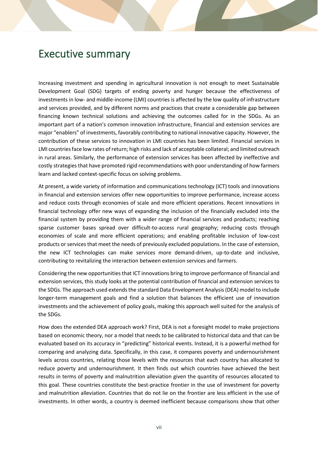### <span id="page-8-0"></span>Executive summary

Increasing investment and spending in agricultural innovation is not enough to meet Sustainable Development Goal (SDG) targets of ending poverty and hunger because the effectiveness of investments in low- and middle-income (LMI) countries is affected by the low quality of infrastructure and services provided, and by different norms and practices that create a considerable gap between financing known technical solutions and achieving the outcomes called for in the SDGs. As an important part of a nation's common innovation infrastructure, financial and extension services are major "enablers" of investments, favorably contributing to national innovative capacity. However, the contribution of these services to innovation in LMI countries has been limited. Financial services in LMI countries face low rates of return; high risks and lack of acceptable collateral; and limited outreach in rural areas. Similarly, the performance of extension services has been affected by ineffective and costly strategies that have promoted rigid recommendations with poor understanding of how farmers learn and lacked context-specific focus on solving problems.

At present, a wide variety of information and communications technology (ICT) tools and innovations in financial and extension services offer new opportunities to improve performance, increase access and reduce costs through economies of scale and more efficient operations. Recent innovations in financial technology offer new ways of expanding the inclusion of the financially excluded into the financial system by providing them with a wider range of financial services and products; reaching sparse customer bases spread over difficult-to-access rural geography; reducing costs through economies of scale and more efficient operations; and enabling profitable inclusion of low-cost products or services that meet the needs of previously excluded populations. In the case of extension, the new ICT technologies can make services more demand-driven, up-to-date and inclusive, contributing to revitalizing the interaction between extension services and farmers.

Considering the new opportunities that ICT innovations bring to improve performance of financial and extension services, this study looks at the potential contribution of financial and extension services to the SDGs. The approach used extends the standard Data Envelopment Analysis (DEA) model to include longer-term management goals and find a solution that balances the efficient use of innovation investments and the achievement of policy goals, making this approach well suited for the analysis of the SDGs.

How does the extended DEA approach work? First, DEA is not a foresight model to make projections based on economic theory, nor a model that needs to be calibrated to historical data and that can be evaluated based on its accuracy in "predicting" historical events. Instead, it is a powerful method for comparing and analyzing data. Specifically, in this case, it compares poverty and undernourishment levels across countries, relating those levels with the resources that each country has allocated to reduce poverty and undernourishment. It then finds out which countries have achieved the best results in terms of poverty and malnutrition alleviation given the quantity of resources allocated to this goal. These countries constitute the best-practice frontier in the use of investment for poverty and malnutrition alleviation. Countries that do not lie on the frontier are less efficient in the use of investments. In other words, a country is deemed inefficient because comparisons show that other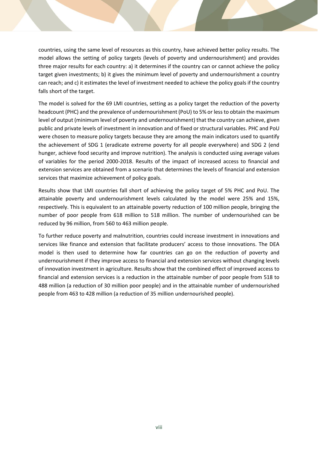countries, using the same level of resources as this country, have achieved better policy results. The model allows the setting of policy targets (levels of poverty and undernourishment) and provides three major results for each country: a) it determines if the country can or cannot achieve the policy target given investments; b) it gives the minimum level of poverty and undernourishment a country can reach; and c) it estimates the level of investment needed to achieve the policy goals if the country falls short of the target.

The model is solved for the 69 LMI countries, setting as a policy target the reduction of the poverty headcount (PHC) and the prevalence of undernourishment (PoU) to 5% or less to obtain the maximum level of output (minimum level of poverty and undernourishment) that the country can achieve, given public and private levels of investment in innovation and of fixed or structural variables. PHC and PoU were chosen to measure policy targets because they are among the main indicators used to quantify the achievement of SDG 1 (eradicate extreme poverty for all people everywhere) and SDG 2 (end hunger, achieve food security and improve nutrition). The analysis is conducted using average values of variables for the period 2000-2018. Results of the impact of increased access to financial and extension services are obtained from a scenario that determines the levels of financial and extension services that maximize achievement of policy goals.

Results show that LMI countries fall short of achieving the policy target of 5% PHC and PoU. The attainable poverty and undernourishment levels calculated by the model were 25% and 15%, respectively. This is equivalent to an attainable poverty reduction of 100 million people, bringing the number of poor people from 618 million to 518 million. The number of undernourished can be reduced by 96 million, from 560 to 463 million people.

To further reduce poverty and malnutrition, countries could increase investment in innovations and services like finance and extension that facilitate producers' access to those innovations. The DEA model is then used to determine how far countries can go on the reduction of poverty and undernourishment if they improve access to financial and extension services without changing levels of innovation investment in agriculture. Results show that the combined effect of improved access to financial and extension services is a reduction in the attainable number of poor people from 518 to 488 million (a reduction of 30 million poor people) and in the attainable number of undernourished people from 463 to 428 million (a reduction of 35 million undernourished people).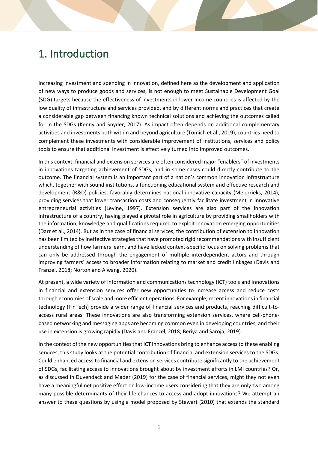# <span id="page-10-0"></span>1. Introduction

Increasing investment and spending in innovation, defined here as the development and application of new ways to produce goods and services, is not enough to meet Sustainable Development Goal (SDG) targets because the effectiveness of investments in lower income countries is affected by the low quality of infrastructure and services provided, and by different norms and practices that create a considerable gap between financing known technical solutions and achieving the outcomes called for in the SDGs (Kenny and Snyder, 2017). As impact often depends on additional complementary activities and investments both within and beyond agriculture (Tomich et al., 2019), countries need to complement these investments with considerable improvement of institutions, services and policy tools to ensure that additional investment is effectively turned into improved outcomes.

In this context, financial and extension services are often considered major "enablers" of investments in innovations targeting achievement of SDGs, and in some cases could directly contribute to the outcome. The financial system is an important part of a nation's common innovation infrastructure which, together with sound institutions, a functioning educational system and effective research and development (R&D) policies, favorably determines national innovative capacity (Meierrieks, 2014), providing services that lower transaction costs and consequently facilitate investment in innovative entrepreneurial activities (Levine, 1997). Extension services are also part of the innovation infrastructure of a country, having played a pivotal role in agriculture by providing smallholders with the information, knowledge and qualifications required to exploit innovation emerging opportunities (Darr et al., 2014). But as in the case of financial services, the contribution of extension to innovation has been limited by ineffective strategies that have promoted rigid recommendations with insufficient understanding of how farmers learn, and have lacked context-specific focus on solving problems that can only be addressed through the engagement of multiple interdependent actors and through improving farmers' access to broader information relating to market and credit linkages (Davis and Franzel, 2018; Norton and Alwang, 2020).

At present, a wide variety of information and communications technology (ICT) tools and innovations in financial and extension services offer new opportunities to increase access and reduce costs through economies ofscale and more efficient operations. For example, recent innovations in financial technology (FinTech) provide a wider range of financial services and products, reaching difficult-toaccess rural areas. These innovations are also transforming extension services, where cell-phonebased networking and messaging apps are becoming common even in developing countries, and their use in extension is growing rapidly (Davis and Franzel, 2018; Beriya and Saroja, 2019).

In the context of the new opportunities that ICT innovations bring to enhance access to these enabling services, this study looks at the potential contribution of financial and extension services to the SDGs. Could enhanced access to financial and extension services contribute significantly to the achievement of SDGs, facilitating access to innovations brought about by investment efforts in LMI countries? Or, as discussed in Duvendack and Mader (2019) for the case of financial services, might they not even have a meaningful net positive effect on low-income users considering that they are only two among many possible determinants of their life chances to access and adopt innovations? We attempt an answer to these questions by using a model proposed by Stewart (2010) that extends the standard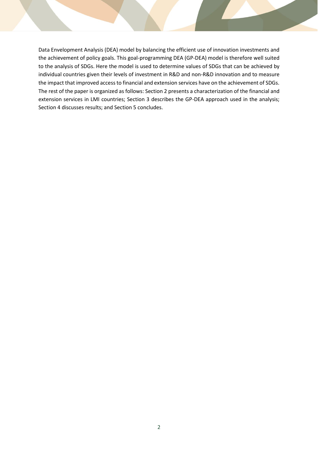Data Envelopment Analysis (DEA) model by balancing the efficient use of innovation investments and the achievement of policy goals. This goal-programming DEA (GP-DEA) model is therefore well suited to the analysis of SDGs. Here the model is used to determine values of SDGs that can be achieved by individual countries given their levels of investment in R&D and non-R&D innovation and to measure the impact that improved access to financial and extension services have on the achievement of SDGs. The rest of the paper is organized as follows: Section 2 presents a characterization of the financial and extension services in LMI countries; Section 3 describes the GP-DEA approach used in the analysis; Section 4 discusses results; and Section 5 concludes.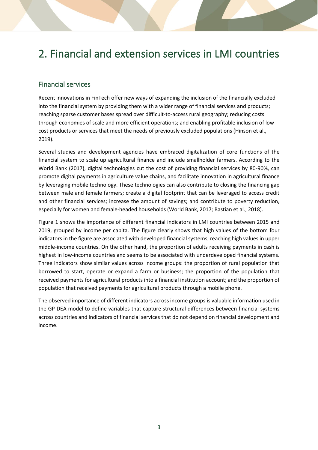# <span id="page-12-0"></span>2. Financial and extension services in LMI countries

#### <span id="page-12-1"></span>Financial services

Recent innovations in FinTech offer new ways of expanding the inclusion of the financially excluded into the financial system by providing them with a wider range of financial services and products; reaching sparse customer bases spread over difficult-to-access rural geography; reducing costs through economies of scale and more efficient operations; and enabling profitable inclusion of lowcost products or services that meet the needs of previously excluded populations (Hinson et al., 2019).

Several studies and development agencies have embraced digitalization of core functions of the financial system to scale up agricultural finance and include smallholder farmers. According to the World Bank (2017), digital technologies cut the cost of providing financial services by 80-90%, can promote digital payments in agriculture value chains, and facilitate innovation in agricultural finance by leveraging mobile technology. These technologies can also contribute to closing the financing gap between male and female farmers; create a digital footprint that can be leveraged to access credit and other financial services; increase the amount of savings; and contribute to poverty reduction, especially for women and female-headed households (World Bank, 2017; Bastian et al., 2018).

Figure 1 shows the importance of different financial indicators in LMI countries between 2015 and 2019, grouped by income per capita. The figure clearly shows that high values of the bottom four indicators in the figure are associated with developed financial systems, reaching high values in upper middle-income countries. On the other hand, the proportion of adults receiving payments in cash is highest in low-income countries and seems to be associated with underdeveloped financial systems. Three indicators show similar values across income groups: the proportion of rural population that borrowed to start, operate or expand a farm or business; the proportion of the population that received payments for agricultural products into a financial institution account; and the proportion of population that received payments for agricultural products through a mobile phone.

The observed importance of different indicators across income groups is valuable information used in the GP-DEA model to define variables that capture structural differences between financial systems across countries and indicators of financial services that do not depend on financial development and income.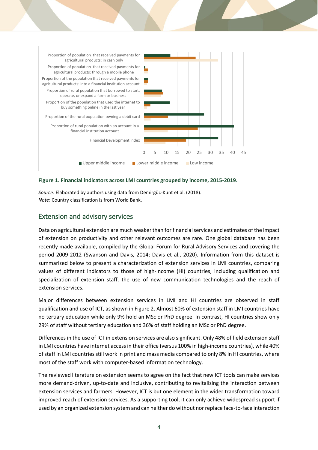

<span id="page-13-1"></span>**Figure 1. Financial indicators across LMI countries grouped by income, 2015-2019.**

*Source*: Elaborated by authors using data from Demirgüç-Kunt et al. (2018). *Note*: Country classification is from World Bank.

#### <span id="page-13-0"></span>Extension and advisory services

Data on agricultural extension are much weaker than for financial services and estimates of the impact of extension on productivity and other relevant outcomes are rare. One global database has been recently made available, compiled by the Global Forum for Rural Advisory Services and covering the period 2009-2012 (Swanson and Davis, 2014; Davis et al., 2020). Information from this dataset is summarized below to present a characterization of extension services in LMI countries, comparing values of different indicators to those of high-income (HI) countries, including qualification and specialization of extension staff, the use of new communication technologies and the reach of extension services.

Major differences between extension services in LMI and HI countries are observed in staff qualification and use of ICT, as shown in Figure 2. Almost 60% of extension staff in LMI countries have no tertiary education while only 9% hold an MSc or PhD degree. In contrast, HI countries show only 29% of staff without tertiary education and 36% of staff holding an MSc or PhD degree.

Differences in the use of ICT in extension services are also significant. Only 48% of field extension staff in LMI countries have internet access in their office (versus 100% in high-income countries), while 40% of staff in LMI countries still work in print and mass media compared to only 8% in HI countries, where most of the staff work with computer-based information technology.

The reviewed literature on extension seems to agree on the fact that new ICT tools can make services more demand-driven, up-to-date and inclusive, contributing to revitalizing the interaction between extension services and farmers. However, ICT is but one element in the wider transformation toward improved reach of extension services. As a supporting tool, it can only achieve widespread support if used by an organized extension system and can neither do without nor replace face-to-face interaction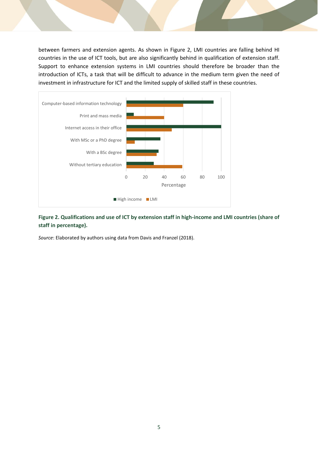between farmers and extension agents. As shown in Figure 2, LMI countries are falling behind HI countries in the use of ICT tools, but are also significantly behind in qualification of extension staff. Support to enhance extension systems in LMI countries should therefore be broader than the introduction of ICTs, a task that will be difficult to advance in the medium term given the need of investment in infrastructure for ICT and the limited supply of skilled staff in these countries.



<span id="page-14-0"></span>**Figure 2. Qualifications and use of ICT by extension staff in high-income and LMI countries (share of staff in percentage).**

*Source*: Elaborated by authors using data from Davis and Franzel (2018).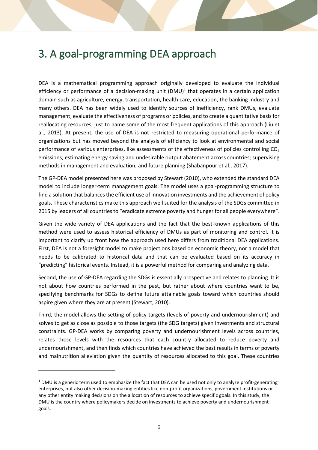# <span id="page-15-0"></span>3. A goal-programming DEA approach

DEA is a mathematical programming approach originally developed to evaluate the individual efficiency or performance of a decision-making unit  $(DMU)^1$  that operates in a certain application domain such as agriculture, energy, transportation, health care, education, the banking industry and many others. DEA has been widely used to identify sources of inefficiency, rank DMUs, evaluate management, evaluate the effectiveness of programs or policies, and to create a quantitative basis for reallocating resources, just to name some of the most frequent applications of this approach (Liu et al., 2013). At present, the use of DEA is not restricted to measuring operational performance of organizations but has moved beyond the analysis of efficiency to look at environmental and social performance of various enterprises, like assessments of the effectiveness of policies controlling  $CO<sub>2</sub>$ emissions; estimating energy saving and undesirable output abatement across countries; supervising methods in management and evaluation; and future planning (Shabanpour et al., 2017).

The GP-DEA model presented here was proposed by Stewart (2010), who extended the standard DEA model to include longer-term management goals. The model uses a goal-programming structure to find a solution that balances the efficient use of innovation investments and the achievement of policy goals. These characteristics make this approach well suited for the analysis of the SDGs committed in 2015 by leaders of all countries to "eradicate extreme poverty and hunger for all people everywhere".

Given the wide variety of DEA applications and the fact that the best-known applications of this method were used to assess historical efficiency of DMUs as part of monitoring and control, it is important to clarify up front how the approach used here differs from traditional DEA applications. First, DEA is not a foresight model to make projections based on economic theory, nor a model that needs to be calibrated to historical data and that can be evaluated based on its accuracy in "predicting" historical events. Instead, it is a powerful method for comparing and analyzing data.

Second, the use of GP-DEA regarding the SDGs is essentially prospective and relates to planning. It is not about how countries performed in the past, but rather about where countries want to be, specifying benchmarks for SDGs to define future attainable goals toward which countries should aspire given where they are at present (Stewart, 2010).

Third, the model allows the setting of policy targets (levels of poverty and undernourishment) and solves to get as close as possible to those targets (the SDG targets) given investments and structural constraints. GP-DEA works by comparing poverty and undernourishment levels across countries, relates those levels with the resources that each country allocated to reduce poverty and undernourishment, and then finds which countries have achieved the best results in terms of poverty and malnutrition alleviation given the quantity of resources allocated to this goal. These countries

 $1$  DMU is a generic term used to emphasize the fact that DEA can be used not only to analyze profit-generating enterprises, but also other decision-making entities like non-profit organizations, government institutions or any other entity making decisions on the allocation of resources to achieve specific goals. In this study, the DMU is the country where policymakers decide on investments to achieve poverty and undernourishment goals.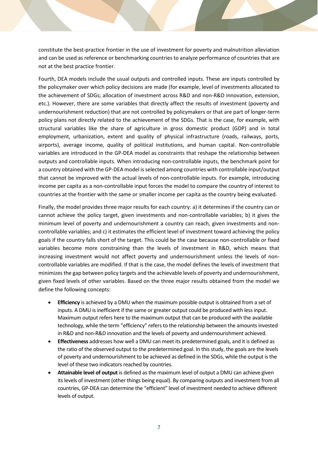constitute the best-practice frontier in the use of investment for poverty and malnutrition alleviation and can be used as reference or benchmarking countries to analyze performance of countries that are not at the best practice frontier.

Fourth, DEA models include the usual outputs and controlled inputs. These are inputs controlled by the policymaker over which policy decisions are made (for example, level of investments allocated to the achievement of SDGs; allocation of investment across R&D and non-R&D innovation, extension, etc.). However, there are some variables that directly affect the results of investment (poverty and undernourishment reduction) that are not controlled by policymakers or that are part of longer-term policy plans not directly related to the achievement of the SDGs. That is the case, for example, with structural variables like the share of agriculture in gross domestic product (GDP) and in total employment, urbanization, extent and quality of physical infrastructure (roads, railways, ports, airports), average income, quality of political institutions, and human capital. Non-controllable variables are introduced in the GP-DEA model as constraints that reshape the relationship between outputs and controllable inputs. When introducing non-controllable inputs, the benchmark point for a country obtained with the GP-DEA model is selected among countries with controllable input/output that cannot be improved with the actual levels of non-controllable inputs. For example, introducing income per capita as a non-controllable input forces the model to compare the country of interest to countries at the frontier with the same or smaller income per capita as the country being evaluated.

Finally, the model provides three major results for each country: a) it determines if the country can or cannot achieve the policy target, given investments and non-controllable variables; b) it gives the minimum level of poverty and undernourishment a country can reach, given investments and noncontrollable variables; and c) it estimates the efficient level of investment toward achieving the policy goals if the country falls short of the target. This could be the case because non-controllable or fixed variables become more constraining than the levels of investment in R&D, which means that increasing investment would not affect poverty and undernourishment unless the levels of noncontrollable variables are modified. If that is the case, the model defines the levels of investment that minimizes the gap between policy targets and the achievable levels of poverty and undernourishment, given fixed levels of other variables. Based on the three major results obtained from the model we define the following concepts:

- **Efficiency** is achieved by a DMU when the maximum possible output is obtained from a set of inputs. A DMU is inefficient if the same or greater output could be produced with less input. Maximum output refers here to the maximum output that can be produced with the available technology, while the term "efficiency" refers to the relationship between the amounts invested in R&D and non-R&D innovation and the levels of poverty and undernourishment achieved.
- **Effectiveness** addresses how well a DMU can meet its predetermined goals, and it is defined as the ratio of the observed output to the predetermined goal. In this study, the goals are the levels of poverty and undernourishment to be achieved as defined in the SDGs, while the output is the level of these two indicators reached by countries.
- **Attainable level of output** is defined as the maximum level of output a DMU can achieve given its levels of investment (other things being equal). By comparing outputs and investment from all countries, GP-DEA can determine the "efficient" level of investment needed to achieve different levels of output.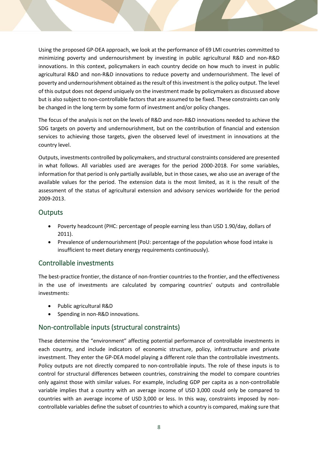Using the proposed GP-DEA approach, we look at the performance of 69 LMI countries committed to minimizing poverty and undernourishment by investing in public agricultural R&D and non-R&D innovations. In this context, policymakers in each country decide on how much to invest in public agricultural R&D and non-R&D innovations to reduce poverty and undernourishment. The level of poverty and undernourishment obtained as the result of this investment is the policy output. The level of this output does not depend uniquely on the investment made by policymakers as discussed above but is also subject to non-controllable factors that are assumed to be fixed. These constraints can only be changed in the long term by some form of investment and/or policy changes.

The focus of the analysis is not on the levels of R&D and non-R&D innovations needed to achieve the SDG targets on poverty and undernourishment, but on the contribution of financial and extension services to achieving those targets, given the observed level of investment in innovations at the country level.

Outputs, investments controlled by policymakers, and structural constraints considered are presented in what follows. All variables used are averages for the period 2000-2018. For some variables, information for that period is only partially available, but in those cases, we also use an average of the available values for the period. The extension data is the most limited, as it is the result of the assessment of the status of agricultural extension and advisory services worldwide for the period 2009-2013.

#### <span id="page-17-0"></span>**Outputs**

- Poverty headcount (PHC: percentage of people earning less than USD 1.90/day, dollars of 2011).
- Prevalence of undernourishment (PoU: percentage of the population whose food intake is insufficient to meet dietary energy requirements continuously).

#### <span id="page-17-1"></span>Controllable investments

The best-practice frontier, the distance of non-frontier countries to the frontier, and the effectiveness in the use of investments are calculated by comparing countries' outputs and controllable investments:

- Public agricultural R&D
- Spending in non-R&D innovations.

#### <span id="page-17-2"></span>Non-controllable inputs (structural constraints)

These determine the "environment" affecting potential performance of controllable investments in each country, and include indicators of economic structure, policy, infrastructure and private investment. They enter the GP-DEA model playing a different role than the controllable investments. Policy outputs are not directly compared to non-controllable inputs. The role of these inputs is to control for structural differences between countries, constraining the model to compare countries only against those with similar values. For example, including GDP per capita as a non-controllable variable implies that a country with an average income of USD 3,000 could only be compared to countries with an average income of USD 3,000 or less. In this way, constraints imposed by noncontrollable variables define the subset of countries to which a country is compared, making sure that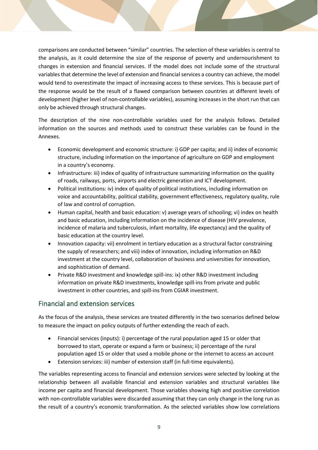comparisons are conducted between "similar" countries. The selection of these variables is central to the analysis, as it could determine the size of the response of poverty and undernourishment to changes in extension and financial services. If the model does not include some of the structural variables that determine the level of extension and financial services a country can achieve, the model would tend to overestimate the impact of increasing access to these services. This is because part of the response would be the result of a flawed comparison between countries at different levels of development (higher level of non-controllable variables), assuming increases in the short run that can only be achieved through structural changes.

The description of the nine non-controllable variables used for the analysis follows. Detailed information on the sources and methods used to construct these variables can be found in the Annexes.

- Economic development and economic structure: i) GDP per capita; and ii) index of economic structure, including information on the importance of agriculture on GDP and employment in a country's economy.
- Infrastructure: iii) index of quality of infrastructure summarizing information on the quality of roads, railways, ports, airports and electric generation and ICT development.
- Political institutions: iv) index of quality of political institutions, including information on voice and accountability, political stability, government effectiveness, regulatory quality, rule of law and control of corruption.
- Human capital, health and basic education: v) average years of schooling; vi) index on health and basic education, including information on the incidence of disease (HIV prevalence, incidence of malaria and tuberculosis, infant mortality, life expectancy) and the quality of basic education at the country level.
- Innovation capacity: vii) enrolment in tertiary education as a structural factor constraining the supply of researchers; and viii) index of innovation, including information on R&D investment at the country level, collaboration of business and universities for innovation, and sophistication of demand.
- Private R&D investment and knowledge spill-ins: ix) other R&D investment including information on private R&D investments, knowledge spill-ins from private and public investment in other countries, and spill-ins from CGIAR investment.

#### <span id="page-18-0"></span>Financial and extension services

As the focus of the analysis, these services are treated differently in the two scenarios defined below to measure the impact on policy outputs of further extending the reach of each.

- Financial services (inputs): i) percentage of the rural population aged 15 or older that borrowed to start, operate or expand a farm or business; ii) percentage of the rural population aged 15 or older that used a mobile phone or the internet to access an account
- Extension services: iii) number of extension staff (in full-time equivalents).

The variables representing access to financial and extension services were selected by looking at the relationship between all available financial and extension variables and structural variables like income per capita and financial development. Those variables showing high and positive correlation with non-controllable variables were discarded assuming that they can only change in the long run as the result of a country's economic transformation. As the selected variables show low correlations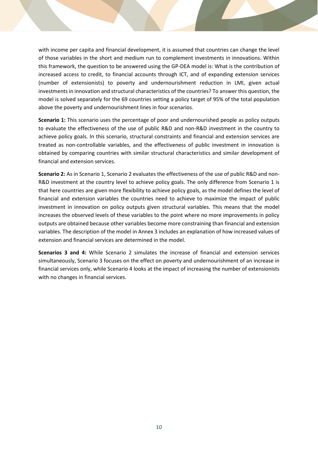with income per capita and financial development, it is assumed that countries can change the level of those variables in the short and medium run to complement investments in innovations. Within this framework, the question to be answered using the GP-DEA model is: What is the contribution of increased access to credit, to financial accounts through ICT, and of expanding extension services (number of extensionists) to poverty and undernourishment reduction in LMI, given actual investments in innovation and structural characteristics of the countries? To answer this question, the model is solved separately for the 69 countries setting a policy target of 95% of the total population above the poverty and undernourishment lines in four scenarios.

**Scenario 1:** This scenario uses the percentage of poor and undernourished people as policy outputs to evaluate the effectiveness of the use of public R&D and non-R&D investment in the country to achieve policy goals. In this scenario, structural constraints and financial and extension services are treated as non-controllable variables, and the effectiveness of public investment in innovation is obtained by comparing countries with similar structural characteristics and similar development of financial and extension services.

**Scenario 2:** As in Scenario 1, Scenario 2 evaluates the effectiveness of the use of public R&D and non-R&D investment at the country level to achieve policy goals. The only difference from Scenario 1 is that here countries are given more flexibility to achieve policy goals, as the model defines the level of financial and extension variables the countries need to achieve to maximize the impact of public investment in innovation on policy outputs given structural variables. This means that the model increases the observed levels of these variables to the point where no more improvements in policy outputs are obtained because other variables become more constraining than financial and extension variables. The description of the model in Annex 3 includes an explanation of how increased values of extension and financial services are determined in the model.

**Scenarios 3 and 4:** While Scenario 2 simulates the increase of financial and extension services simultaneously, Scenario 3 focuses on the effect on poverty and undernourishment of an increase in financial services only, while Scenario 4 looks at the impact of increasing the number of extensionists with no changes in financial services.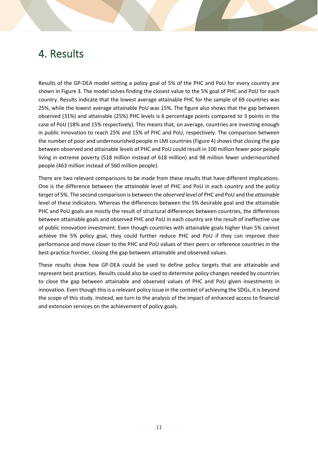### <span id="page-20-0"></span>4. Results

Results of the GP-DEA model setting a policy goal of 5% of the PHC and PoU for every country are shown in Figure 3. The model solves finding the closest value to the 5% goal of PHC and PoU for each country. Results indicate that the lowest average attainable PHC for the sample of 69 countries was 25%, while the lowest average attainable PoU was 15%. The figure also shows that the gap between observed (31%) and attainable (25%) PHC levels is 6 percentage points compared to 3 points in the case of PoU (18% and 15% respectively). This means that, on average, countries are investing enough in public innovation to reach 25% and 15% of PHC and PoU, respectively. The comparison between the number of poor and undernourished people in LMI countries (Figure 4) shows that closing the gap between observed and attainable levels of PHC and PoU could result in 100 million fewer poor people living in extreme poverty (518 million instead of 618 million) and 98 million fewer undernourished people (463 million instead of 560 million people).

There are two relevant comparisons to be made from these results that have different implications. One is the difference between the *attainable* level of PHC and PoU in each country and the *policy target* of 5%. The second comparison is between the *observed* level of PHC and PoU and the *attainable* level of these indicators. Whereas the differences between the 5% desirable goal and the attainable PHC and PoU goals are mostly the result of structural differences between countries, the differences between attainable goals and observed PHC and PoU in each country are the result of ineffective use of public innovation investment. Even though countries with attainable goals higher than 5% cannot achieve the 5% policy goal, they could further reduce PHC and PoU if they can improve their performance and move closer to the PHC and PoU values of their peers or reference countries in the best-practice frontier, closing the gap between attainable and observed values.

These results show how GP-DEA could be used to define policy targets that are attainable and represent best practices. Results could also be used to determine policy changes needed by countries to close the gap between attainable and observed values of PHC and PoU given investments in innovation. Even though this is a relevant policy issue in the context of achieving the SDGs, it is beyond the scope of this study. Instead, we turn to the analysis of the impact of enhanced access to financial and extension services on the achievement of policy goals.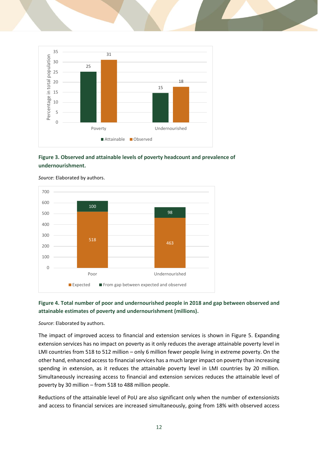

#### <span id="page-21-0"></span>**Figure 3. Observed and attainable levels of poverty headcount and prevalence of undernourishment.**



*Source*: Elaborated by authors.

#### <span id="page-21-1"></span>**Figure 4. Total number of poor and undernourished people in 2018 and gap between observed and attainable estimates of poverty and undernourishment (millions).**

*Source*: Elaborated by authors.

The impact of improved access to financial and extension services is shown in Figure 5. Expanding extension services has no impact on poverty as it only reduces the average attainable poverty level in LMI countries from 518 to 512 million – only 6 million fewer people living in extreme poverty. On the other hand, enhanced access to financial services has a much larger impact on poverty than increasing spending in extension, as it reduces the attainable poverty level in LMI countries by 20 million. Simultaneously increasing access to financial and extension services reduces the attainable level of poverty by 30 million – from 518 to 488 million people.

Reductions of the attainable level of PoU are also significant only when the number of extensionists and access to financial services are increased simultaneously, going from 18% with observed access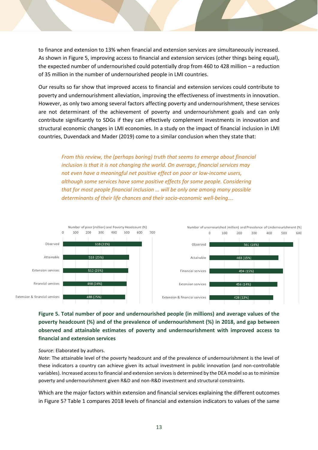to finance and extension to 13% when financial and extension services are simultaneously increased. As shown in Figure 5, improving access to financial and extension services (other things being equal), the expected number of undernourished could potentially drop from 460 to 428 million – a reduction of 35 million in the number of undernourished people in LMI countries.

Our results so far show that improved access to financial and extension services could contribute to poverty and undernourishment alleviation, improving the effectiveness of investments in innovation. However, as only two among several factors affecting poverty and undernourishment, these services are not determinant of the achievement of poverty and undernourishment goals and can only contribute significantly to SDGs if they can effectively complement investments in innovation and structural economic changes in LMI economies. In a study on the impact of financial inclusion in LMI countries, Duvendack and Mader (2019) come to a similar conclusion when they state that:

*From this review, the (perhaps boring) truth that seems to emerge about financial inclusion is that it is not changing the world. On average, financial services may not even have a meaningful net positive effect on poor or low-income users, although some services have some positive effects for some people. Considering that for most people financial inclusion … will be only one among many possible determinants of their life chances and their socio-economic well-being….*



<span id="page-22-0"></span>**Figure 5. Total number of poor and undernourished people (in millions) and average values of the poverty headcount (%) and of the prevalence of undernourishment (%) in 2018, and gap between observed and attainable estimates of poverty and undernourishment with improved access to financial and extension services**

*Source*: Elaborated by authors.

*Note*: The attainable level of the poverty headcount and of the prevalence of undernourishment is the level of these indicators a country can achieve given its actual investment in public innovation (and non-controllable variables). Increased access to financial and extension services is determined by the DEA model so as to minimize poverty and undernourishment given R&D and non-R&D investment and structural constraints.

Which are the major factors within extension and financial services explaining the different outcomes in Figure 5? Table 1 compares 2018 levels of financial and extension indicators to values of the same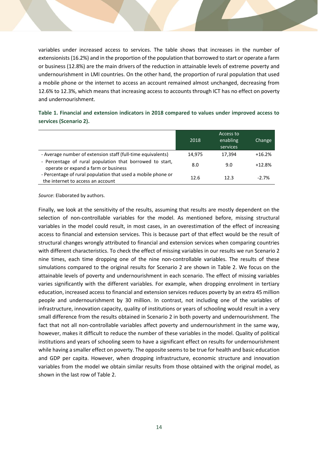variables under increased access to services. The table shows that increases in the number of extensionists (16.2%) and in the proportion of the population that borrowed to start or operate a farm or business (12.8%) are the main drivers of the reduction in attainable levels of extreme poverty and undernourishment in LMI countries. On the other hand, the proportion of rural population that used a mobile phone or the internet to access an account remained almost unchanged, decreasing from 12.6% to 12.3%, which means that increasing access to accounts through ICT has no effect on poverty and undernourishment.

<span id="page-23-0"></span>

|                        |  |  | Table 1. Financial and extension indicators in 2018 compared to values under improved access to |  |  |
|------------------------|--|--|-------------------------------------------------------------------------------------------------|--|--|
| services (Scenario 2). |  |  |                                                                                                 |  |  |

|                                                                                                   | 2018   | Access to<br>enabling<br>services | Change   |
|---------------------------------------------------------------------------------------------------|--------|-----------------------------------|----------|
| - Average number of extension staff (full-time equivalents)                                       | 14.975 | 17,394                            | $+16.2%$ |
| - Percentage of rural population that borrowed to start,<br>operate or expand a farm or business  | 8.0    | 9.0                               | $+12.8%$ |
| - Percentage of rural population that used a mobile phone or<br>the internet to access an account | 12.6   | 12.3                              | $-2.7%$  |

*Source*: Elaborated by authors.

Finally, we look at the sensitivity of the results, assuming that results are mostly dependent on the selection of non-controllable variables for the model. As mentioned before, missing structural variables in the model could result, in most cases, in an overestimation of the effect of increasing access to financial and extension services. This is because part of that effect would be the result of structural changes wrongly attributed to financial and extension services when comparing countries with different characteristics. To check the effect of missing variables in our results we run Scenario 2 nine times, each time dropping one of the nine non-controllable variables. The results of these simulations compared to the original results for Scenario 2 are shown in Table 2. We focus on the attainable levels of poverty and undernourishment in each scenario. The effect of missing variables varies significantly with the different variables. For example, when dropping enrolment in tertiary education, increased access to financial and extension services reduces poverty by an extra 45 million people and undernourishment by 30 million. In contrast, not including one of the variables of infrastructure, innovation capacity, quality of institutions or years of schooling would result in a very small difference from the results obtained in Scenario 2 in both poverty and undernourishment. The fact that not all non-controllable variables affect poverty and undernourishment in the same way, however, makes it difficult to reduce the number of these variables in the model. Quality of political institutions and years of schooling seem to have a significant effect on results for undernourishment while having a smaller effect on poverty. The opposite seems to be true for health and basic education and GDP per capita. However, when dropping infrastructure, economic structure and innovation variables from the model we obtain similar results from those obtained with the original model, as shown in the last row of Table 2.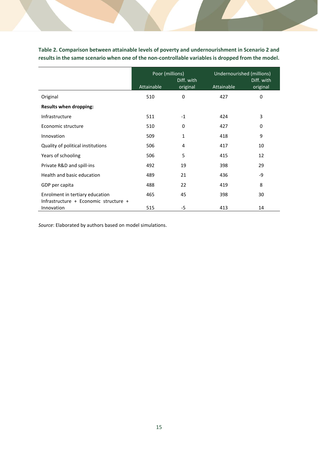<span id="page-24-0"></span>**Table 2. Comparison between attainable levels of poverty and undernourishment in Scenario 2 and results in the same scenario when one of the non-controllable variables is dropped from the model.**

|                                                                          | Poor (millions) | Diff. with | Undernourished (millions) | Diff. with |  |
|--------------------------------------------------------------------------|-----------------|------------|---------------------------|------------|--|
|                                                                          | Attainable      | original   | Attainable                | original   |  |
| Original                                                                 | 510             | 0          | 427                       | 0          |  |
| <b>Results when dropping:</b>                                            |                 |            |                           |            |  |
| Infrastructure                                                           | 511             | $-1$       | 424                       | 3          |  |
| Economic structure                                                       | 510             | 0          | 427                       | 0          |  |
| Innovation                                                               | 509             | 1          | 418                       | 9          |  |
| Quality of political institutions                                        | 506             | 4          | 417                       | 10         |  |
| Years of schooling                                                       | 506             | 5          | 415                       | 12         |  |
| Private R&D and spill-ins                                                | 492             | 19         | 398                       | 29         |  |
| Health and basic education                                               | 489             | 21         | 436                       | -9         |  |
| GDP per capita                                                           | 488             | 22         | 419                       | 8          |  |
| Enrolment in tertiary education<br>Infrastructure + Economic structure + | 465             | 45         | 398                       | 30         |  |
| Innovation                                                               | 515             | $-5$       | 413                       | 14         |  |

*Source*: Elaborated by authors based on model simulations.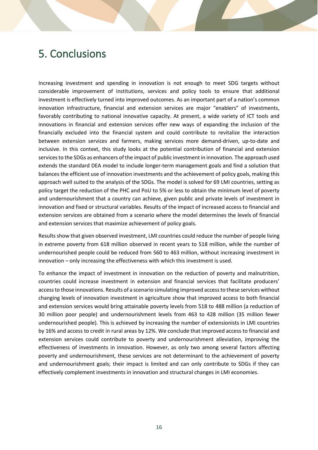# <span id="page-25-0"></span>5. Conclusions

Increasing investment and spending in innovation is not enough to meet SDG targets without considerable improvement of institutions, services and policy tools to ensure that additional investment is effectively turned into improved outcomes. As an important part of a nation's common innovation infrastructure, financial and extension services are major "enablers" of investments, favorably contributing to national innovative capacity. At present, a wide variety of ICT tools and innovations in financial and extension services offer new ways of expanding the inclusion of the financially excluded into the financial system and could contribute to revitalize the interaction between extension services and farmers, making services more demand-driven, up-to-date and inclusive. In this context, this study looks at the potential contribution of financial and extension services to the SDGs as enhancers of the impact of public investment in innovation. The approach used extends the standard DEA model to include longer-term management goals and find a solution that balances the efficient use of innovation investments and the achievement of policy goals, making this approach well suited to the analysis of the SDGs. The model is solved for 69 LMI countries, setting as policy target the reduction of the PHC and PoU to 5% or less to obtain the minimum level of poverty and undernourishment that a country can achieve, given public and private levels of investment in innovation and fixed or structural variables. Results of the impact of increased access to financial and extension services are obtained from a scenario where the model determines the levels of financial and extension services that maximize achievement of policy goals.

Results show that given observed investment, LMI countries could reduce the number of people living in extreme poverty from 618 million observed in recent years to 518 million, while the number of undernourished people could be reduced from 560 to 463 million, without increasing investment in innovation – only increasing the effectiveness with which this investment is used.

To enhance the impact of investment in innovation on the reduction of poverty and malnutrition, countries could increase investment in extension and financial services that facilitate producers' access to those innovations. Results of a scenario simulating improved access to these services without changing levels of innovation investment in agriculture show that improved access to both financial and extension services would bring attainable poverty levels from 518 to 488 million (a reduction of 30 million poor people) and undernourishment levels from 463 to 428 million (35 million fewer undernourished people). This is achieved by increasing the number of extensionists in LMI countries by 16% and access to credit in rural areas by 12%. We conclude that improved access to financial and extension services could contribute to poverty and undernourishment alleviation, improving the effectiveness of investments in innovation. However, as only two among several factors affecting poverty and undernourishment, these services are not determinant to the achievement of poverty and undernourishment goals; their impact is limited and can only contribute to SDGs if they can effectively complement investments in innovation and structural changes in LMI economies.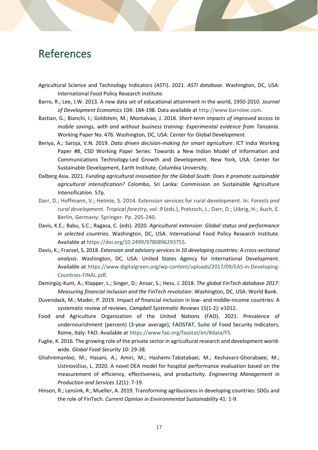## <span id="page-26-0"></span>References

- Agricultural Science and Technology Indicators (ASTI). 2021. *ASTI database*. Washington, DC, USA: International Food Policy Research Institute.
- Barro, R.; Lee, J.W. 2013. A new data set of educational attainment in the world, 1950-2010. *Journal of Development Economics* 104: 184-198. Data available at [http://www.barrolee.com.](http://www.barrolee.com/)
- Bastian, G.; Bianchi, I.; Goldstein, M.; Montalvao, J. 2018. *Short-term impacts of improved access to mobile savings, with and without business training: Experimental evidence from Tanzania*. Working Paper No. 476. Washington, DC, USA: Center for Global Development.
- Beriya, A.; Saroja, V.N. 2019. *Data driven decision-making for smart agriculture*. ICT India Working Paper #8, CSD Working Paper Series: Towards a New Indian Model of Information and Communications Technology-Led Growth and Development. New York, USA: Center for Sustainable Development, Earth Institute, Columbia University.
- Dalberg Asia. 2021. *Funding agricultural innovation for the Global South: Does it promote sustainable agricultural intensification?* Colombo, Sri Lanka: Commission on Sustainable Agriculture Intensification. 57p.
- Darr, D.; Hoffmann, V.; Helmle, S. 2014. Extension services for rural development. In: *Forests and rural development. Tropical forestry, vol. 9* (eds.), Pretzsch, J.; Darr, D.; Uibrig, H.; Auch, E. Berlin, Germany: Springer. Pp. 205-240.
- Davis, K.E.; Babu, S.C.; Ragasa, C. (eds). 2020. *Agricultural extension: Global status and performance in selected countries*. Washington, DC, USA: International Food Policy Research Institute. Available at [https://doi.org/10.2499/9780896293755.](https://doi.org/10.2499/9780896293755)
- Davis, K.; Franzel, S. 2018. *Extension and advisory services in 10 developing countries: A cross-sectional analysis*. Washington, DC, USA: United States Agency for International Development. Available at [https://www.digitalgreen.org/wp-content/uploads/2017/09/EAS-in-Developing-](https://www.digitalgreen.org/wp-content/uploads/2017/09/EAS-in-Developing-Countries-FINAL.pdf)[Countries-FINAL.pdf.](https://www.digitalgreen.org/wp-content/uploads/2017/09/EAS-in-Developing-Countries-FINAL.pdf)
- Demirgüç-Kunt, A.; Klapper, L.; Singer, D.; Ansar, S.; Hess, J. 2018. *The global FinTech database 2017: Measuring financial inclusion and the FinTech revolution*. Washington, DC, USA: World Bank.
- Duvendack, M.; Mader, P. 2019. Impact of financial inclusion in low- and middle-income countries: A systematic review of reviews. *Campbell Systematic Reviews* 15(1-2): e1012.
- Food and Agriculture Organization of the United Nations (FAO). 2021. Prevalence of undernourishment (percent) (3-year average), FAOSTAT, Suite of Food Security Indicators, Rome, Italy: FAO. Available a[t https://www.fao.org/faostat/en/#data/FS.](https://www.fao.org/faostat/en/#data/FS)
- Fuglie, K. 2016. The growing role of the private sector in agricultural research and development worldwide. *Global Food Security* 10: 29-38.
- Ghahremanloo, M.; Hasani, A.; Amiri, M.; Hashemi-Tabatabaei, M.; Keshavarz-Ghorabaee, M.; Ustinovičius, L. 2020. A novel DEA model for hospital performance evaluation based on the measurement of efficiency, effectiveness, and productivity. *Engineering Management in Production and Services* 12(1): 7-19.
- Hinson, R.; Lensink, R.; Mueller, A. 2019. Transforming agribusiness in developing countries: SDGs and the role of FinTech. *Current Opinion in Environmental Sustainability* 41: 1-9.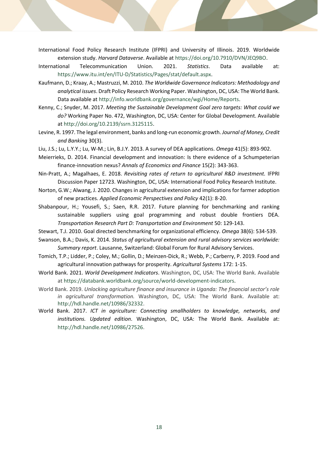- International Food Policy Research Institute (IFPRI) and University of Illinois. 2019. Worldwide extension study. *Harvard Dataverse*. Available at [https://doi.org/10.7910/DVN/JEQ9BO.](https://doi.org/10.7910/DVN/JEQ9BO)
- International Telecommunication Union. 2021. *Statistics*. Data available at: [https://www.itu.int/en/ITU-D/Statistics/Pages/stat/default.aspx.](https://www.itu.int/en/ITU-D/Statistics/Pages/stat/default.aspx)
- Kaufmann, D.; Kraay, A.; Mastruzzi, M. 2010. *The Worldwide Governance Indicators: Methodology and analytical issues*. Draft Policy Research Working Paper. Washington, DC, USA: The World Bank. Data available at [http://info.worldbank.org/governance/wgi/Home/Reports.](http://info.worldbank.org/governance/wgi/Home/Reports)
- Kenny, C.; Snyder, M. 2017. *Meeting the Sustainable Development Goal zero targets: What could we do?* Working Paper No. 472, Washington, DC, USA: Center for Global Development. Available a[t http://doi.org/10.2139/ssrn.3125115.](http://doi.org/10.2139/ssrn.3125115)
- Levine, R. 1997. The legal environment, banks and long-run economic growth. *Journal of Money, Credit and Banking* 30(3).
- Liu, J.S.; Lu, L.Y.Y.; Lu, W-M.; Lin, B.J.Y. 2013. A survey of DEA applications. *Omega* 41(5): 893-902.
- Meierrieks, D. 2014. Financial development and innovation: Is there evidence of a Schumpeterian finance-innovation nexus? *Annals of Economics and Finance* 15(2): 343-363.
- Nin-Pratt, A.; Magalhaes, E. 2018. *Revisiting rates of return to agricultural R&D investment.* IFPRI Discussion Paper 12723. Washington, DC, USA: International Food Policy Research Institute.
- Norton, G.W.; Alwang, J. 2020. Changes in agricultural extension and implications for farmer adoption of new practices. *Applied Economic Perspectives and Policy* 42(1): 8-20.
- Shabanpour, H.; Yousefi, S.; Saen, R.R. 2017. Future planning for benchmarking and ranking sustainable suppliers using goal programming and robust double frontiers DEA. *Transportation Research Part D: Transportation and Environment* 50: 129-143.
- Stewart, T.J. 2010. Goal directed benchmarking for organizational efficiency. *Omega* 38(6): 534-539.
- Swanson, B.A.; Davis, K. 2014. *Status of agricultural extension and rural advisory services worldwide: Summary report*. Lausanne, Switzerland: Global Forum for Rural Advisory Services.
- Tomich, T.P.; Lidder, P.; Coley, M.; Gollin, D.; Meinzen-Dick, R.; Webb, P.; Carberry, P. 2019. Food and agricultural innovation pathways for prosperity. *Agricultural Systems* 172: 1-15.
- World Bank. 2021. *World Development Indicators*. Washington, DC, USA: The World Bank. Available at [https://databank.worldbank.org/source/world-development-indicators.](https://databank.worldbank.org/source/world-development-indicators)
- World Bank. 2019. *Unlocking agriculture finance and insurance in Uganda: The financial sector's role in agricultural transformation.* Washington, DC, USA: The World Bank. Available at: [http://hdl.handle.net/10986/32332.](http://hdl.handle.net/10986/32332)
- World Bank. 2017. *ICT in agriculture: Connecting smallholders to knowledge, networks, and institutions. Updated edition*. Washington, DC, USA: The World Bank. Available at: [http://hdl.handle.net/10986/27526.](http://hdl.handle.net/10986/27526)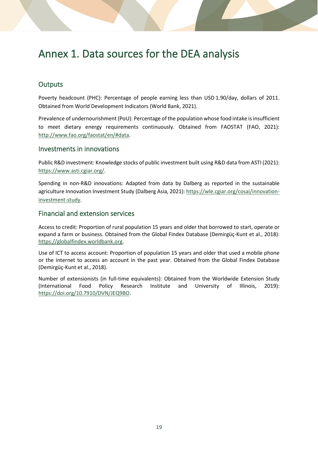# <span id="page-28-0"></span>Annex 1. Data sources for the DEA analysis

#### <span id="page-28-1"></span>**Outputs**

Poverty headcount (PHC): Percentage of people earning less than USD 1.90/day, dollars of 2011. Obtained from World Development Indicators (World Bank, 2021).

Prevalence of undernourishment (PoU): Percentage of the population whose food intake is insufficient to meet dietary energy requirements continuously. Obtained from FAOSTAT (FAO, 2021): [http://www.fao.org/faostat/en/#data.](http://www.fao.org/faostat/en/#data)

#### <span id="page-28-2"></span>Investments in innovations

Public R&D investment: Knowledge stocks of public investment built using R&D data from ASTI (2021): [https://www.asti.cgiar.org/.](https://www.asti.cgiar.org/)

Spending in non-R&D innovations: Adapted from data by Dalberg as reported in the sustainable agriculture Innovation Investment Study (Dalberg Asia, 2021)[: https://wle.cgiar.org/cosai/innovation](https://wle.cgiar.org/cosai/innovation-investment-study)[investment-study.](https://wle.cgiar.org/cosai/innovation-investment-study)

#### <span id="page-28-3"></span>Financial and extension services

Access to credit: Proportion of rural population 15 years and older that borrowed to start, operate or expand a farm or business. Obtained from the Global Findex Database (Demirgüç-Kunt et al., 2018): [https://globalfindex.worldbank.org.](https://globalfindex.worldbank.org/)

Use of ICT to access account: Proportion of population 15 years and older that used a mobile phone or the internet to access an account in the past year. Obtained from the Global Findex Database (Demirgüç-Kunt et al., 2018).

Number of extensionists (in full-time equivalents): Obtained from the Worldwide Extension Study (International Food Policy Research Institute and University of Illinois, 2019): [https://doi.org/10.7910/DVN/JEQ9BO.](https://doi.org/10.7910/DVN/JEQ9BO)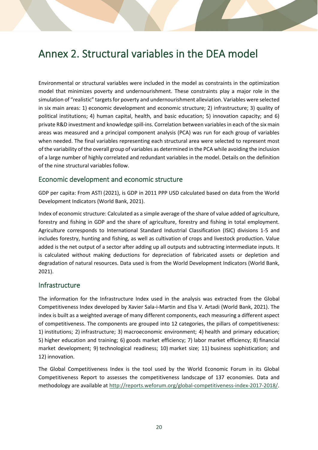# <span id="page-29-0"></span>Annex 2. Structural variables in the DEA model

Environmental or structural variables were included in the model as constraints in the optimization model that minimizes poverty and undernourishment. These constraints play a major role in the simulation of "realistic" targets for poverty and undernourishment alleviation. Variables were selected in six main areas: 1) economic development and economic structure; 2) infrastructure; 3) quality of political institutions; 4) human capital, health, and basic education; 5) innovation capacity; and 6) private R&D investment and knowledge spill-ins. Correlation between variables in each of the six main areas was measured and a principal component analysis (PCA) was run for each group of variables when needed. The final variables representing each structural area were selected to represent most of the variability of the overall group of variables as determined in the PCA while avoiding the inclusion of a large number of highly correlated and redundant variables in the model. Details on the definition of the nine structural variables follow.

#### <span id="page-29-1"></span>Economic development and economic structure

GDP per capita: From ASTI (2021), is GDP in 2011 PPP USD calculated based on data from the World Development Indicators (World Bank, 2021).

Index of economic structure: Calculated as a simple average of the share of value added of agriculture, forestry and fishing in GDP and the share of agriculture, forestry and fishing in total employment. Agriculture corresponds to International Standard Industrial Classification (ISIC) divisions 1-5 and includes forestry, hunting and fishing, as well as cultivation of crops and livestock production. Value added is the net output of a sector after adding up all outputs and subtracting intermediate inputs. It is calculated without making deductions for depreciation of fabricated assets or depletion and degradation of natural resources. Data used is from the World Development Indicators (World Bank, 2021).

#### <span id="page-29-2"></span>Infrastructure

The information for the Infrastructure Index used in the analysis was extracted from the Global Competitiveness Index developed by Xavier Sala-i-Martin and Elsa V. Artadi (World Bank, 2021). The index is built as a weighted average of many different components, each measuring a different aspect of competitiveness. The components are grouped into 12 categories, the pillars of competitiveness: 1) institutions; 2) infrastructure; 3) macroeconomic environment; 4) health and primary education; 5) higher education and training; 6) goods market efficiency; 7) labor market efficiency; 8) financial market development; 9) technological readiness; 10) market size; 11) business sophistication; and 12) innovation.

The Global Competitiveness Index is the tool used by the World Economic Forum in its Global Competitiveness Report to assesses the competitiveness landscape of 137 economies. Data and methodology are available a[t http://reports.weforum.org/global-competitiveness-index-2017-2018/.](http://reports.weforum.org/global-competitiveness-index-2017-2018/)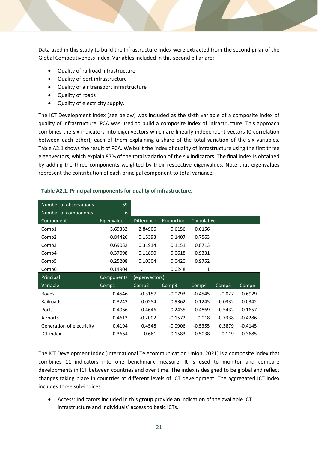Data used in this study to build the Infrastructure Index were extracted from the second pillar of the Global Competitiveness Index. Variables included in this second pillar are:

- Quality of railroad infrastructure
- Quality of port infrastructure
- Quality of air transport infrastructure
- Quality of roads
- Quality of electricity supply.

The ICT Development Index (see below) was included as the sixth variable of a composite index of quality of infrastructure. PCA was used to build a composite index of infrastructure. This approach combines the six indicators into eigenvectors which are linearly independent vectors (0 correlation between each other), each of them explaining a share of the total variation of the six variables. Table A2.1 shows the result of PCA. We built the index of quality of infrastructure using the first three eigenvectors, which explain 87% of the total variation of the six indicators. The final index is obtained by adding the three components weighted by their respective eigenvalues. Note that eigenvalues represent the contribution of each principal component to total variance.

| Number of observations    | 69         |                   |            |            |           |           |
|---------------------------|------------|-------------------|------------|------------|-----------|-----------|
| Number of components      | 6          |                   |            |            |           |           |
| Component                 | Eigenvalue | <b>Difference</b> | Proportion | Cumulative |           |           |
| Comp1                     | 3.69332    | 2.84906           | 0.6156     | 0.6156     |           |           |
| Comp <sub>2</sub>         | 0.84426    | 0.15393           | 0.1407     | 0.7563     |           |           |
| Comp3                     | 0.69032    | 0.31934           | 0.1151     | 0.8713     |           |           |
| Comp4                     | 0.37098    | 0.11890           | 0.0618     | 0.9331     |           |           |
| Comp <sub>5</sub>         | 0.25208    | 0.10304           | 0.0420     | 0.9752     |           |           |
| Comp6                     | 0.14904    |                   | 0.0248     | 1          |           |           |
| Principal                 | Components | (eigenvectors)    |            |            |           |           |
| Variable                  | Comp1      | Comp2             | Comp3      | Comp4      | Comp5     | Comp6     |
| Roads                     | 0.4546     | $-0.3157$         | $-0.0793$  | $-0.4545$  | $-0.027$  | 0.6929    |
| Railroads                 | 0.3242     | $-0.0254$         | 0.9362     | 0.1245     | 0.0332    | $-0.0342$ |
| Ports                     | 0.4066     | $-0.4646$         | $-0.2435$  | 0.4869     | 0.5432    | $-0.1657$ |
| Airports                  | 0.4613     | $-0.2002$         | $-0.1572$  | 0.018      | $-0.7338$ | $-0.4286$ |
| Generation of electricity | 0.4194     | 0.4548            | $-0.0906$  | $-0.5355$  | 0.3879    | $-0.4145$ |
| <b>ICT index</b>          | 0.3664     | 0.661             | $-0.1583$  | 0.5038     | $-0.119$  | 0.3685    |

#### **Table A2.1. Principal components for quality of infrastructure.**

The ICT Development Index (International Telecommunication Union, 2021) is a composite index that combines 11 indicators into one benchmark measure. It is used to monitor and compare developments in ICT between countries and over time. The index is designed to be global and reflect changes taking place in countries at different levels of ICT development. The aggregated ICT index includes three sub-indices.

• Access: Indicators included in this group provide an indication of the available ICT infrastructure and individuals' access to basic ICTs.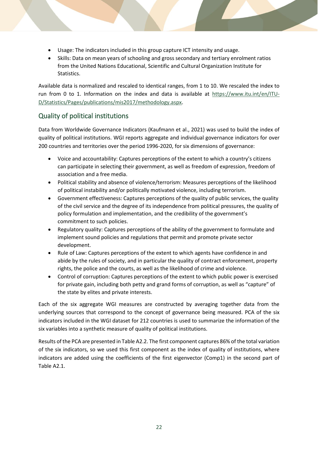- Usage: The indicators included in this group capture ICT intensity and usage.
- Skills: Data on mean years of schooling and gross secondary and tertiary enrolment ratios from the United Nations Educational, Scientific and Cultural Organization Institute for Statistics.

Available data is normalized and rescaled to identical ranges, from 1 to 10. We rescaled the index to run from 0 to 1. Information on the index and data is available at [https://www.itu.int/en/ITU-](https://www.itu.int/en/ITU-D/Statistics/Pages/publications/mis2017/methodology.aspx)[D/Statistics/Pages/publications/mis2017/methodology.aspx.](https://www.itu.int/en/ITU-D/Statistics/Pages/publications/mis2017/methodology.aspx)

#### <span id="page-31-0"></span>Quality of political institutions

Data from Worldwide Governance Indicators (Kaufmann et al., 2021) was used to build the index of quality of political institutions. WGI reports aggregate and individual governance indicators for over 200 countries and territories over the period 1996-2020, for six dimensions of governance:

- Voice and accountability: Captures perceptions of the extent to which a country's citizens can participate in selecting their government, as well as freedom of expression, freedom of association and a free media.
- Political stability and absence of violence/terrorism: Measures perceptions of the likelihood of political instability and/or politically motivated violence, including terrorism.
- Government effectiveness: Captures perceptions of the quality of public services, the quality of the civil service and the degree of its independence from political pressures, the quality of policy formulation and implementation, and the credibility of the government's commitment to such policies.
- Regulatory quality: Captures perceptions of the ability of the government to formulate and implement sound policies and regulations that permit and promote private sector development.
- Rule of Law: Captures perceptions of the extent to which agents have confidence in and abide by the rules of society, and in particular the quality of contract enforcement, property rights, the police and the courts, as well as the likelihood of crime and violence.
- Control of corruption: Captures perceptions of the extent to which public power is exercised for private gain, including both petty and grand forms of corruption, as well as "capture" of the state by elites and private interests.

Each of the six aggregate WGI measures are constructed by averaging together data from the underlying sources that correspond to the concept of governance being measured. PCA of the six indicators included in the WGI dataset for 212 countries is used to summarize the information of the six variables into a synthetic measure of quality of political institutions.

Results of the PCA are presented in Table A2.2. The first component captures 86% of the total variation of the six indicators, so we used this first component as the index of quality of institutions, where indicators are added using the coefficients of the first eigenvector (Comp1) in the second part of Table A2.1.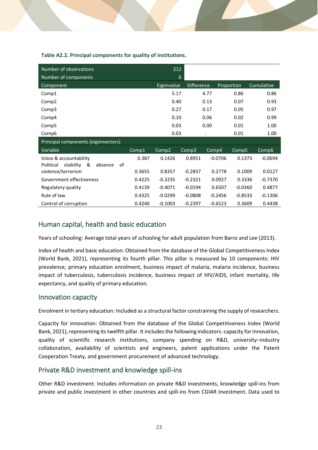| Number of observations                       |        | 212        |                   |           |            |            |
|----------------------------------------------|--------|------------|-------------------|-----------|------------|------------|
| Number of components                         |        |            | 6                 |           |            |            |
| Component                                    |        | Eigenvalue | <b>Difference</b> |           | Proportion | Cumulative |
| Comp1                                        |        | 5.17       |                   | 4.77      | 0.86       | 0.86       |
| Comp2                                        |        | 0.40       |                   | 0.13      | 0.07       | 0.93       |
| Comp3                                        |        | 0.27       |                   | 0.17      | 0.05       | 0.97       |
| Comp4                                        |        | 0.10       |                   | 0.06      | 0.02       | 0.99       |
| Comp <sub>5</sub>                            |        | 0.03       |                   | 0.00      | 0.01       | 1.00       |
| Comp6                                        |        | 0.03       |                   | $\bullet$ | 0.01       | 1.00       |
| Principal components (eigenvectors)          |        |            |                   |           |            |            |
| Variable                                     | Comp1  | Comp2      | Comp3             | Comp4     | Comp5      | Comp6      |
| Voice & accountability                       | 0.387  | 0.1426     | 0.8951            | $-0.0706$ | 0.1373     | $-0.0694$  |
| &<br>of<br>Political<br>stability<br>absence |        |            |                   |           |            |            |
| violence/terrorism                           | 0.3655 | 0.8357     | $-0.2837$         | 0.2778    | 0.1009     | 0.0127     |
| Government effectiveness                     | 0.4225 | $-0.3235$  | $-0.2321$         | 0.0927    | 0.3336     | $-0.7370$  |
| Regulatory quality                           | 0.4139 | $-0.4071$  | $-0.0194$         | 0.6507    | $-0.0360$  | 0.4877     |
| Rule of law                                  | 0.4325 | $-0.0299$  | $-0.0808$         | $-0.2456$ | $-0.8533$  | $-0.1306$  |
| Control of corruption                        | 0.4240 | $-0.1003$  | $-0.2397$         | $-0.6523$ | 0.3609     | 0.4438     |

#### **Table A2.2. Principal components for quality of institutions.**

#### <span id="page-32-0"></span>Human capital, health and basic education

Years of schooling: Average total years of schooling for adult population from Barro and Lee (2013).

Index of health and basic education: Obtained from the database of the Global Competitiveness Index (World Bank, 2021), representing its fourth pillar. This pillar is measured by 10 components: HIV prevalence, primary education enrolment, business impact of malaria, malaria incidence, business impact of tuberculosis, tuberculosis incidence, business impact of HIV/AIDS, infant mortality, life expectancy, and quality of primary education.

#### <span id="page-32-1"></span>Innovation capacity

Enrolment in tertiary education: Included as a structural factor constraining the supply of researchers.

Capacity for innovation: Obtained from the database of the Global Competitiveness Index (World Bank, 2021), representing its twelfth pillar. It includes the following indicators: capacity for innovation, quality of scientific research institutions, company spending on R&D, university–industry collaboration, availability of scientists and engineers, patent applications under the Patent Cooperation Treaty, and government procurement of advanced technology.

#### <span id="page-32-2"></span>Private R&D investment and knowledge spill-ins

Other R&D investment: Includes information on private R&D investments, knowledge spill-ins from private and public investment in other countries and spill-ins from CGIAR investment. Data used to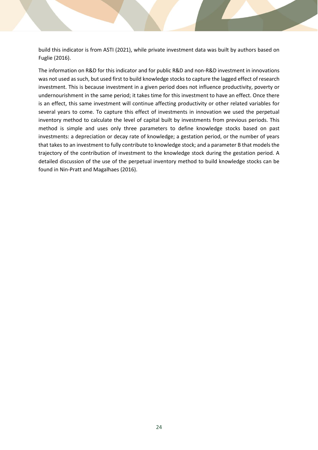build this indicator is from ASTI (2021), while private investment data was built by authors based on Fuglie (2016).

The information on R&D for this indicator and for public R&D and non-R&D investment in innovations was not used as such, but used first to build knowledge stocks to capture the lagged effect of research investment. This is because investment in a given period does not influence productivity, poverty or undernourishment in the same period; it takes time for this investment to have an effect. Once there is an effect, this same investment will continue affecting productivity or other related variables for several years to come. To capture this effect of investments in innovation we used the perpetual inventory method to calculate the level of capital built by investments from previous periods. This method is simple and uses only three parameters to define knowledge stocks based on past investments: a depreciation or decay rate of knowledge; a gestation period, or the number of years that takes to an investment to fully contribute to knowledge stock; and a parameter B that models the trajectory of the contribution of investment to the knowledge stock during the gestation period. A detailed discussion of the use of the perpetual inventory method to build knowledge stocks can be found in Nin-Pratt and Magalhaes (2016).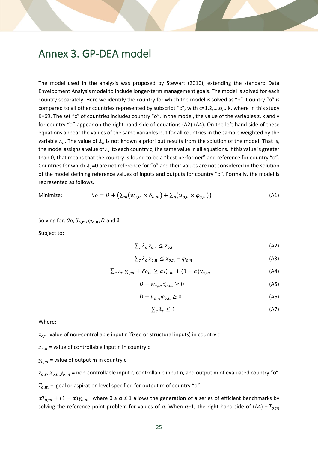### <span id="page-34-0"></span>Annex 3. GP-DEA model

The model used in the analysis was proposed by Stewart (2010), extending the standard Data Envelopment Analysis model to include longer-term management goals. The model is solved for each country separately. Here we identify the country for which the model is solved as "o". Country "o" is compared to all other countries represented by subscript "c", with c=1,2,…,o,…K, where in this study K=69. The set "c" of countries includes country "o". In the model, the value of the variables z, x and y for country "o" appear on the right hand side of equations (A2)-(A4). On the left hand side of these equations appear the values of the same variables but for all countries in the sample weighted by the variable  $\lambda_c$ . The value of  $\lambda_c$  is not known a priori but results from the solution of the model. That is, the model assigns a value of  $\lambda_c$  to each country c, the same value in all equations. If this value is greater than 0, that means that the country is found to be a "best performer" and reference for country "o". Countries for which  $\lambda_c$ =0 are not reference for "o" and their values are not considered in the solution of the model defining reference values of inputs and outputs for country "o". Formally, the model is represented as follows.

$$
\hbox{Minimize:}\quad
$$

Minimize: 
$$
\theta o = D + (\sum_{m} (w_{o,m} \times \delta_{o,m}) + \sum_{n} (u_{o,n} \times \varphi_{o,n}))
$$
(A1)

Solving for:  $\theta$ o,  $\delta_{o.m}$ ,  $\varphi_{o.n}$ , D and  $\lambda$ 

Subject to:

$$
\sum_{c} \lambda_c \, z_{c,r} \leq z_{o,r} \tag{A2}
$$

$$
\sum_{c} \lambda_c \, x_{c,n} \le x_{o,n} - \varphi_{o,n} \tag{A3}
$$

$$
\sum_{c} \lambda_{c} y_{c,m} + \delta o_{m} \ge \alpha T_{o,m} + (1 - \alpha) y_{o,m}
$$
\n(A4)

$$
D - w_{o,m} \delta_{o,m} \ge 0 \tag{A5}
$$

$$
D - u_{o,n} \varphi_{o,n} \ge 0 \tag{A6}
$$

$$
\sum_{c} \lambda_{c} \le 1 \tag{A7}
$$

Where:

 $z_{c,r}\,$  value of non-controllable input r (fixed or structural inputs) in country c

 $x_{c,n}$  = value of controllable input n in country c

 $y_{c.m}$  = value of output m in country c

 $z_{o,r}$ ,  $x_{o,n}$ ,  $y_{o,m}$  = non-controllable input r, controllable input n, and output m of evaluated country "o"

 $T_{o,m}$  = goal or aspiration level specified for output m of country "o"

 $aT_{0,m} + (1 - \alpha)y_{0,m}$  where  $0 \le \alpha \le 1$  allows the generation of a series of efficient benchmarks by solving the reference point problem for values of α. When α=1, the right-hand-side of (A4) =  $T_{o,m}$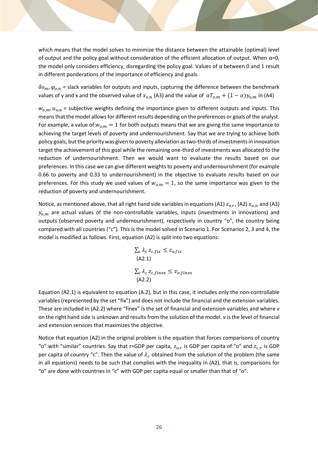which means that the model solves to minimize the distance between the attainable (optimal) level of output and the policy goal without consideration of the efficient allocation of output. When α=0, the model only considers efficiency, disregarding the policy goal. Values of α between 0 and 1 result in different ponderations of the importance of efficiency and goals.

 $\delta o_m$ ,  $\varphi_{o,n}$  = slack variables for outputs and inputs, capturing the difference between the benchmark values of y and x and the observed value of  $x_{o,n}$  (A3) and the value of  $\alpha T_{o,m} + (1 - \alpha) y_{o,m}$  in (A4)

 $w_{o,m}$ ,  $u_{o,n}$  = subjective weights defining the importance given to different outputs and inputs. This means that the model allows for different results depending on the preferences or goals of the analyst. For example, a value of  $w_{o,m} = 1$  for both outputs means that we are giving the same importance to achieving the target levels of poverty and undernourishment. Say that we are trying to achieve both policy goals, but the priority was given to poverty alleviation as two-thirds of investments in innovation target the achievement of this goal while the remaining one-third of investments was allocated to the reduction of undernourishment. Then we would want to evaluate the results based on our preferences. In this case we can give different weights to poverty and undernourishment (for example 0.66 to poverty and 0.33 to undernourishment) in the objective to evaluate results based on our preferences. For this study we used values of  $w_{<sub>0</sub>, m$  = 1, so the same importance was given to the reduction of poverty and undernourishment.

Notice, as mentioned above, that all right hand side variables in equations (A1)  $z_{o,r}$ , (A2)  $x_{o,n}$  and (A3)  $y_{o,m}$  are actual values of the non-controllable variables, inputs (investments in innovations) and outputs (observed poverty and undernourishment), respectively in country "o", the country being compared with all countries ("c"). This is the model solved in Scenario 1. For Scenarios 2, 3 and 4, the model is modified as follows. First, equation (A2) is split into two equations:

$$
\sum_{c} \lambda_{c} z_{c,fix} \leq z_{o,fix}
$$
  
(A2.1)  

$$
\sum_{c} \lambda_{c} z_{c,finex} \leq v_{o,finex}
$$
  
(A2.2)

Equation (A2.1) is equivalent to equation (A.2), but in this case, it includes only the non-controllable variables (represented by the set "fix") and does not include the financial and the extension variables. These are included in (A2.2) where "finex" is the set of financial and extension variables and where *v* on the right hand side is unknown and results from the solution of the model. *v* is the level of financial and extension services that maximizes the objective.

Notice that equation (A2) in the original problem is the equation that forces comparisons of country "o" with "similar" countries. Say that r=GDP per capita,  $z_{o,r}$  is GDP per capita of "o" and  $z_{c,r}$  is GDP per capita of country "c". Then the value of  $\lambda_c$  obtained from the solution of the problem (the same in all equations) needs to be such that complies with the inequality in (A2), that is, comparisons for "o" are done with countries in "c" with GDP per capita equal or smaller than that of "o".